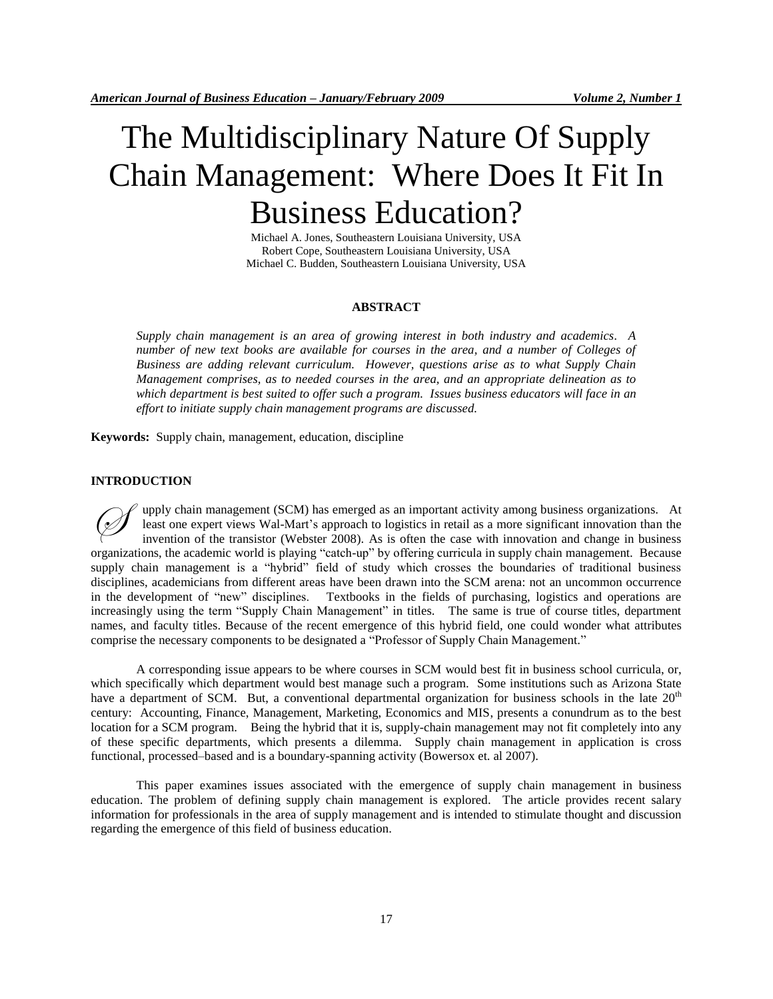# The Multidisciplinary Nature Of Supply Chain Management: Where Does It Fit In Business Education?

Michael A. Jones, Southeastern Louisiana University, USA Robert Cope, Southeastern Louisiana University, USA Michael C. Budden, Southeastern Louisiana University, USA

#### **ABSTRACT**

*Supply chain management is an area of growing interest in both industry and academics. A number of new text books are available for courses in the area, and a number of Colleges of Business are adding relevant curriculum. However, questions arise as to what Supply Chain Management comprises, as to needed courses in the area, and an appropriate delineation as to which department is best suited to offer such a program. Issues business educators will face in an effort to initiate supply chain management programs are discussed.*

**Keywords:** Supply chain, management, education, discipline

## **INTRODUCTION**

upply chain management (SCM) has emerged as an important activity among business organizations. At least one expert views Wal-Mart's approach to logistics in retail as a more significant innovation than the invention of the transistor (Webster 2008). As is often the case with innovation and change in business organizations, the academic world is playing "catch-up" by offering curricula in supply chain management. Because supply chain management is a "hybrid" field of study which crosses the boundaries of traditional business disciplines, academicians from different areas have been drawn into the SCM arena: not an uncommon occurrence in the development of "new" disciplines. Textbooks in the fields of purchasing, logistics and operations are increasingly using the term "Supply Chain Management" in titles. The same is true of course titles, department names, and faculty titles. Because of the recent emergence of this hybrid field, one could wonder what attributes comprise the necessary components to be designated a "Professor of Supply Chain Management."  $\oslash$ 

A corresponding issue appears to be where courses in SCM would best fit in business school curricula, or, which specifically which department would best manage such a program. Some institutions such as Arizona State have a department of SCM. But, a conventional departmental organization for business schools in the late 20<sup>th</sup> century: Accounting, Finance, Management, Marketing, Economics and MIS, presents a conundrum as to the best location for a SCM program. Being the hybrid that it is, supply-chain management may not fit completely into any of these specific departments, which presents a dilemma. Supply chain management in application is cross functional, processed–based and is a boundary-spanning activity (Bowersox et. al 2007).

This paper examines issues associated with the emergence of supply chain management in business education. The problem of defining supply chain management is explored. The article provides recent salary information for professionals in the area of supply management and is intended to stimulate thought and discussion regarding the emergence of this field of business education.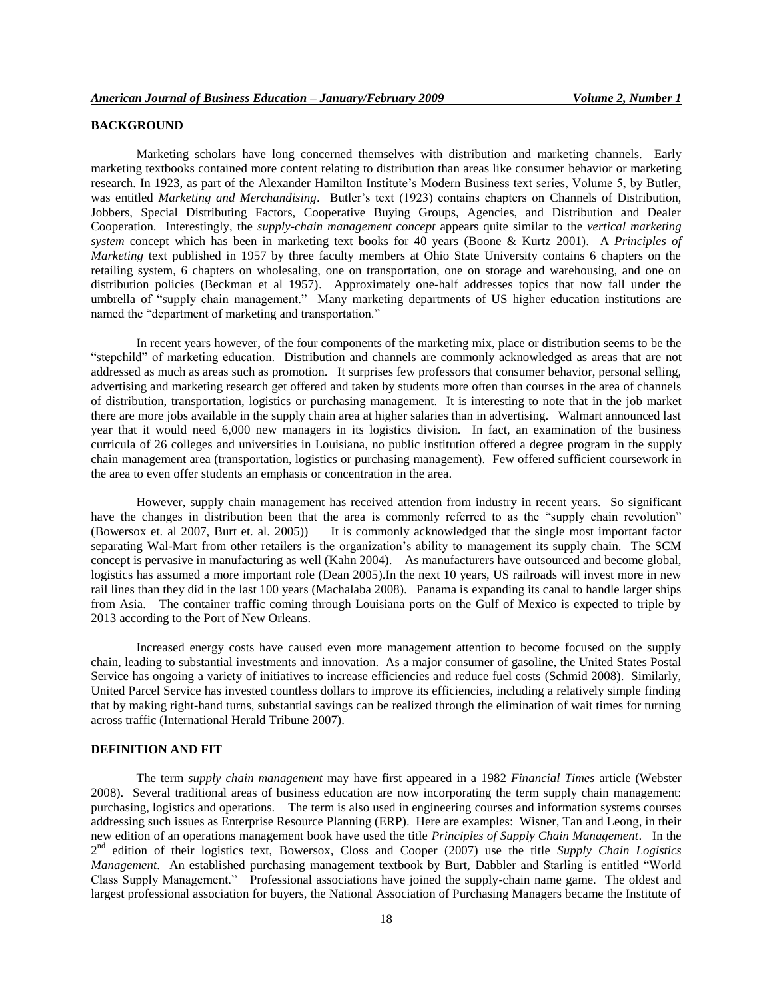# **BACKGROUND**

Marketing scholars have long concerned themselves with distribution and marketing channels. Early marketing textbooks contained more content relating to distribution than areas like consumer behavior or marketing research. In 1923, as part of the Alexander Hamilton Institute's Modern Business text series, Volume 5, by Butler, was entitled *Marketing and Merchandising*. Butler's text (1923) contains chapters on Channels of Distribution, Jobbers, Special Distributing Factors, Cooperative Buying Groups, Agencies, and Distribution and Dealer Cooperation. Interestingly, the *supply-chain management concept* appears quite similar to the *vertical marketing system* concept which has been in marketing text books for 40 years (Boone & Kurtz 2001). A *Principles of Marketing* text published in 1957 by three faculty members at Ohio State University contains 6 chapters on the retailing system, 6 chapters on wholesaling, one on transportation, one on storage and warehousing, and one on distribution policies (Beckman et al 1957). Approximately one-half addresses topics that now fall under the umbrella of "supply chain management." Many marketing departments of US higher education institutions are named the "department of marketing and transportation."

In recent years however, of the four components of the marketing mix, place or distribution seems to be the "stepchild" of marketing education. Distribution and channels are commonly acknowledged as areas that are not addressed as much as areas such as promotion. It surprises few professors that consumer behavior, personal selling, advertising and marketing research get offered and taken by students more often than courses in the area of channels of distribution, transportation, logistics or purchasing management. It is interesting to note that in the job market there are more jobs available in the supply chain area at higher salaries than in advertising. Walmart announced last year that it would need 6,000 new managers in its logistics division. In fact, an examination of the business curricula of 26 colleges and universities in Louisiana, no public institution offered a degree program in the supply chain management area (transportation, logistics or purchasing management). Few offered sufficient coursework in the area to even offer students an emphasis or concentration in the area.

However, supply chain management has received attention from industry in recent years. So significant have the changes in distribution been that the area is commonly referred to as the "supply chain revolution" (Bowersox et. al 2007, Burt et. al. 2005)) It is commonly acknowledged that the single most important factor separating Wal-Mart from other retailers is the organization's ability to management its supply chain. The SCM concept is pervasive in manufacturing as well (Kahn 2004). As manufacturers have outsourced and become global, logistics has assumed a more important role (Dean 2005).In the next 10 years, US railroads will invest more in new rail lines than they did in the last 100 years (Machalaba 2008). Panama is expanding its canal to handle larger ships from Asia. The container traffic coming through Louisiana ports on the Gulf of Mexico is expected to triple by 2013 according to the Port of New Orleans.

Increased energy costs have caused even more management attention to become focused on the supply chain, leading to substantial investments and innovation. As a major consumer of gasoline, the United States Postal Service has ongoing a variety of initiatives to increase efficiencies and reduce fuel costs (Schmid 2008). Similarly, United Parcel Service has invested countless dollars to improve its efficiencies, including a relatively simple finding that by making right-hand turns, substantial savings can be realized through the elimination of wait times for turning across traffic (International Herald Tribune 2007).

# **DEFINITION AND FIT**

The term *supply chain management* may have first appeared in a 1982 *Financial Times* article (Webster 2008). Several traditional areas of business education are now incorporating the term supply chain management: purchasing, logistics and operations. The term is also used in engineering courses and information systems courses addressing such issues as Enterprise Resource Planning (ERP). Here are examples: Wisner, Tan and Leong, in their new edition of an operations management book have used the title *Principles of Supply Chain Management*. In the 2 nd edition of their logistics text, Bowersox, Closs and Cooper (2007) use the title *Supply Chain Logistics Management*. An established purchasing management textbook by Burt, Dabbler and Starling is entitled "World Class Supply Management." Professional associations have joined the supply-chain name game. The oldest and largest professional association for buyers, the National Association of Purchasing Managers became the Institute of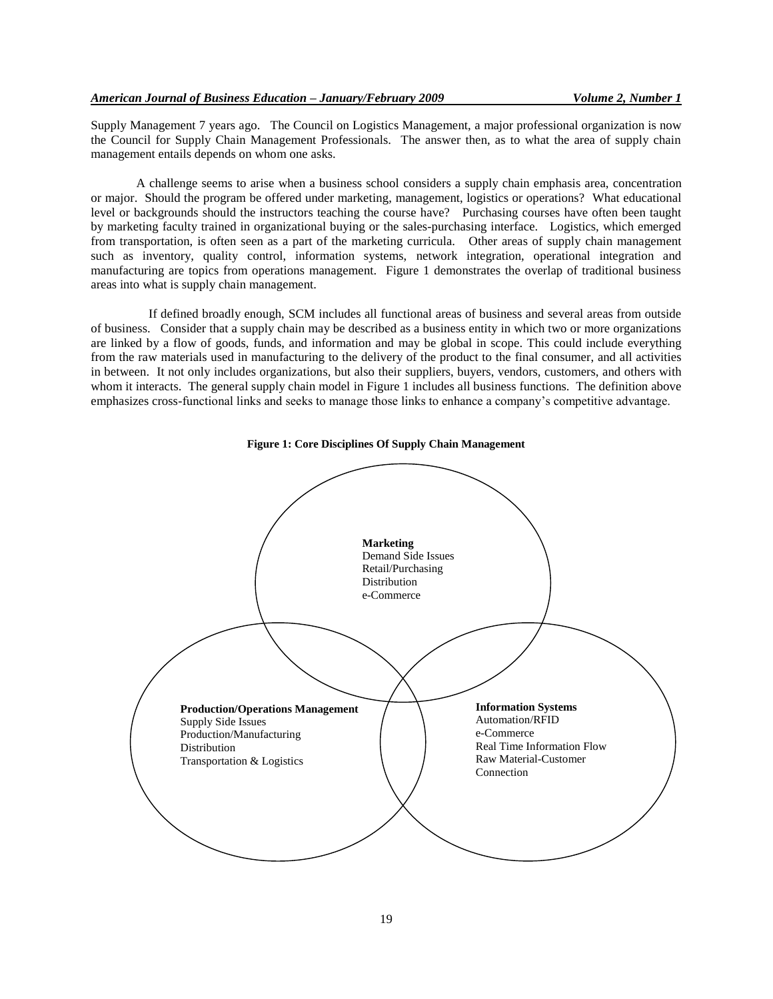Supply Management 7 years ago. The Council on Logistics Management, a major professional organization is now the Council for Supply Chain Management Professionals. The answer then, as to what the area of supply chain management entails depends on whom one asks.

A challenge seems to arise when a business school considers a supply chain emphasis area, concentration or major. Should the program be offered under marketing, management, logistics or operations? What educational level or backgrounds should the instructors teaching the course have? Purchasing courses have often been taught by marketing faculty trained in organizational buying or the sales-purchasing interface. Logistics, which emerged from transportation, is often seen as a part of the marketing curricula. Other areas of supply chain management such as inventory, quality control, information systems, network integration, operational integration and manufacturing are topics from operations management. Figure 1 demonstrates the overlap of traditional business areas into what is supply chain management.

If defined broadly enough, SCM includes all functional areas of business and several areas from outside of business. Consider that a supply chain may be described as a business entity in which two or more organizations are linked by a flow of goods, funds, and information and may be global in scope. This could include everything from the raw materials used in manufacturing to the delivery of the product to the final consumer, and all activities in between. It not only includes organizations, but also their suppliers, buyers, vendors, customers, and others with whom it interacts. The general supply chain model in Figure 1 includes all business functions. The definition above emphasizes cross-functional links and seeks to manage those links to enhance a company's competitive advantage.



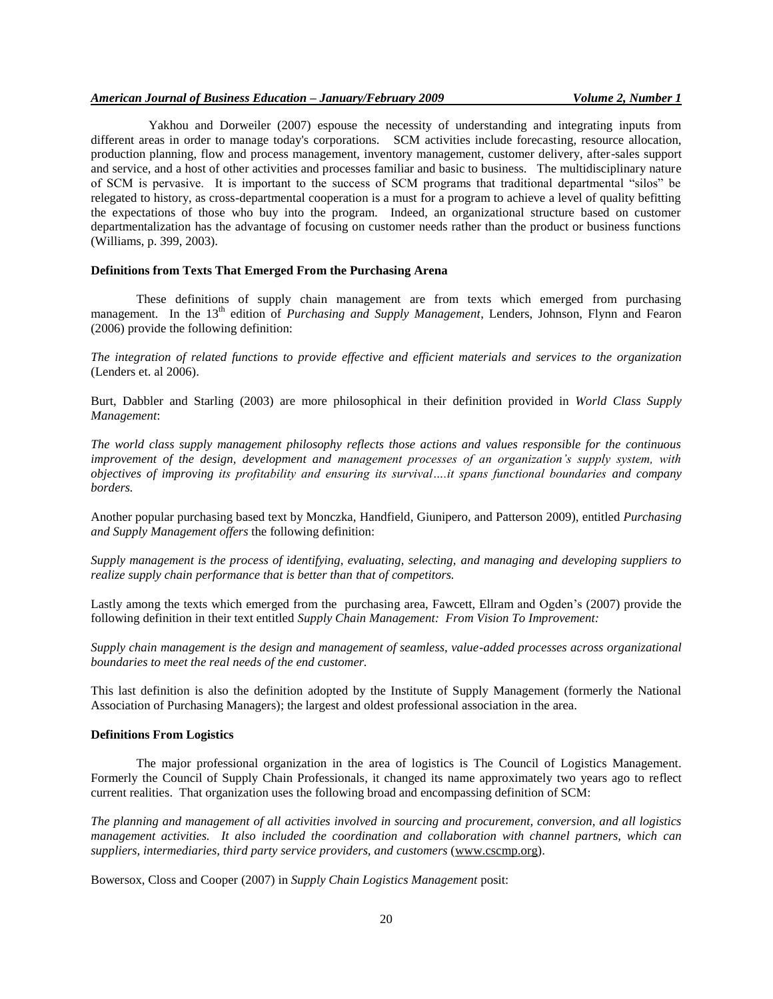Yakhou and Dorweiler (2007) espouse the necessity of understanding and integrating inputs from different areas in order to manage today's corporations. SCM activities include forecasting, resource allocation, production planning, flow and process management, inventory management, customer delivery, after-sales support and service, and a host of other activities and processes familiar and basic to business. The multidisciplinary nature of SCM is pervasive. It is important to the success of SCM programs that traditional departmental "silos" be relegated to history, as cross-departmental cooperation is a must for a program to achieve a level of quality befitting the expectations of those who buy into the program. Indeed, an organizational structure based on customer departmentalization has the advantage of focusing on customer needs rather than the product or business functions (Williams, p. 399, 2003).

## **Definitions from Texts That Emerged From the Purchasing Arena**

These definitions of supply chain management are from texts which emerged from purchasing management. In the 13<sup>th</sup> edition of *Purchasing and Supply Management*, Lenders, Johnson, Flynn and Fearon (2006) provide the following definition:

*The integration of related functions to provide effective and efficient materials and services to the organization* (Lenders et. al 2006).

Burt, Dabbler and Starling (2003) are more philosophical in their definition provided in *World Class Supply Management*:

*The world class supply management philosophy reflects those actions and values responsible for the continuous improvement of the design, development and management processes of an organization's supply system, with objectives of improving its profitability and ensuring its survival….it spans functional boundaries and company borders.*

Another popular purchasing based text by Monczka, Handfield, Giunipero, and Patterson 2009), entitled *Purchasing and Supply Management offers* the following definition:

*Supply management is the process of identifying, evaluating, selecting, and managing and developing suppliers to realize supply chain performance that is better than that of competitors.*

Lastly among the texts which emerged from the purchasing area, Fawcett, Ellram and Ogden's (2007) provide the following definition in their text entitled *Supply Chain Management: From Vision To Improvement:*

*Supply chain management is the design and management of seamless, value-added processes across organizational boundaries to meet the real needs of the end customer.*

This last definition is also the definition adopted by the Institute of Supply Management (formerly the National Association of Purchasing Managers); the largest and oldest professional association in the area.

#### **Definitions From Logistics**

The major professional organization in the area of logistics is The Council of Logistics Management. Formerly the Council of Supply Chain Professionals, it changed its name approximately two years ago to reflect current realities. That organization uses the following broad and encompassing definition of SCM:

*The planning and management of all activities involved in sourcing and procurement, conversion, and all logistics management activities. It also included the coordination and collaboration with channel partners, which can suppliers, intermediaries, third party service providers, and customers* [\(www.cscmp.org\)](http://www.cscmp.org/).

Bowersox, Closs and Cooper (2007) in *Supply Chain Logistics Management* posit: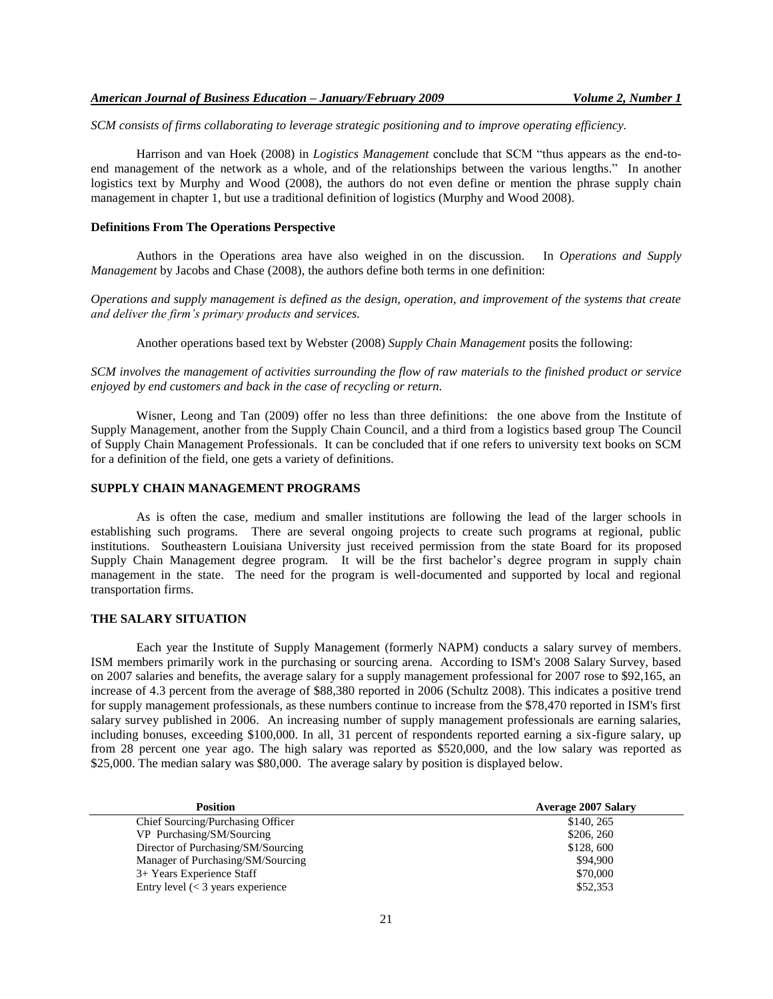*SCM consists of firms collaborating to leverage strategic positioning and to improve operating efficiency.*

Harrison and van Hoek (2008) in *Logistics Management* conclude that SCM "thus appears as the end-toend management of the network as a whole, and of the relationships between the various lengths." In another logistics text by Murphy and Wood (2008), the authors do not even define or mention the phrase supply chain management in chapter 1, but use a traditional definition of logistics (Murphy and Wood 2008).

## **Definitions From The Operations Perspective**

Authors in the Operations area have also weighed in on the discussion. In *Operations and Supply Management* by Jacobs and Chase (2008), the authors define both terms in one definition:

*Operations and supply management is defined as the design, operation, and improvement of the systems that create and deliver the firm's primary products and services.*

Another operations based text by Webster (2008) *Supply Chain Management* posits the following:

*SCM involves the management of activities surrounding the flow of raw materials to the finished product or service enjoyed by end customers and back in the case of recycling or return.*

Wisner, Leong and Tan (2009) offer no less than three definitions: the one above from the Institute of Supply Management, another from the Supply Chain Council, and a third from a logistics based group The Council of Supply Chain Management Professionals. It can be concluded that if one refers to university text books on SCM for a definition of the field, one gets a variety of definitions.

## **SUPPLY CHAIN MANAGEMENT PROGRAMS**

As is often the case, medium and smaller institutions are following the lead of the larger schools in establishing such programs. There are several ongoing projects to create such programs at regional, public institutions. Southeastern Louisiana University just received permission from the state Board for its proposed Supply Chain Management degree program. It will be the first bachelor's degree program in supply chain management in the state. The need for the program is well-documented and supported by local and regional transportation firms.

## **THE SALARY SITUATION**

Each year the Institute of Supply Management (formerly NAPM) conducts a salary survey of members. ISM members primarily work in the purchasing or sourcing arena. According to ISM's 2008 Salary Survey, based on 2007 salaries and benefits, the average salary for a supply management professional for 2007 rose to \$92,165, an increase of 4.3 percent from the average of \$88,380 reported in 2006 (Schultz 2008). This indicates a positive trend for supply management professionals, as these numbers continue to increase from the \$78,470 reported in ISM's first salary survey published in 2006. An increasing number of supply management professionals are earning salaries, including bonuses, exceeding \$100,000. In all, 31 percent of respondents reported earning a six-figure salary, up from 28 percent one year ago. The high salary was reported as \$520,000, and the low salary was reported as \$25,000. The median salary was \$80,000. The average salary by position is displayed below.

| <b>Position</b>                     | <b>Average 2007 Salary</b> |
|-------------------------------------|----------------------------|
| Chief Sourcing/Purchasing Officer   | \$140, 265                 |
| VP Purchasing/SM/Sourcing           | \$206, 260                 |
| Director of Purchasing/SM/Sourcing  | \$128,600                  |
| Manager of Purchasing/SM/Sourcing   | \$94,900                   |
| 3+ Years Experience Staff           | \$70,000                   |
| Entry level $(< 3$ years experience | \$52,353                   |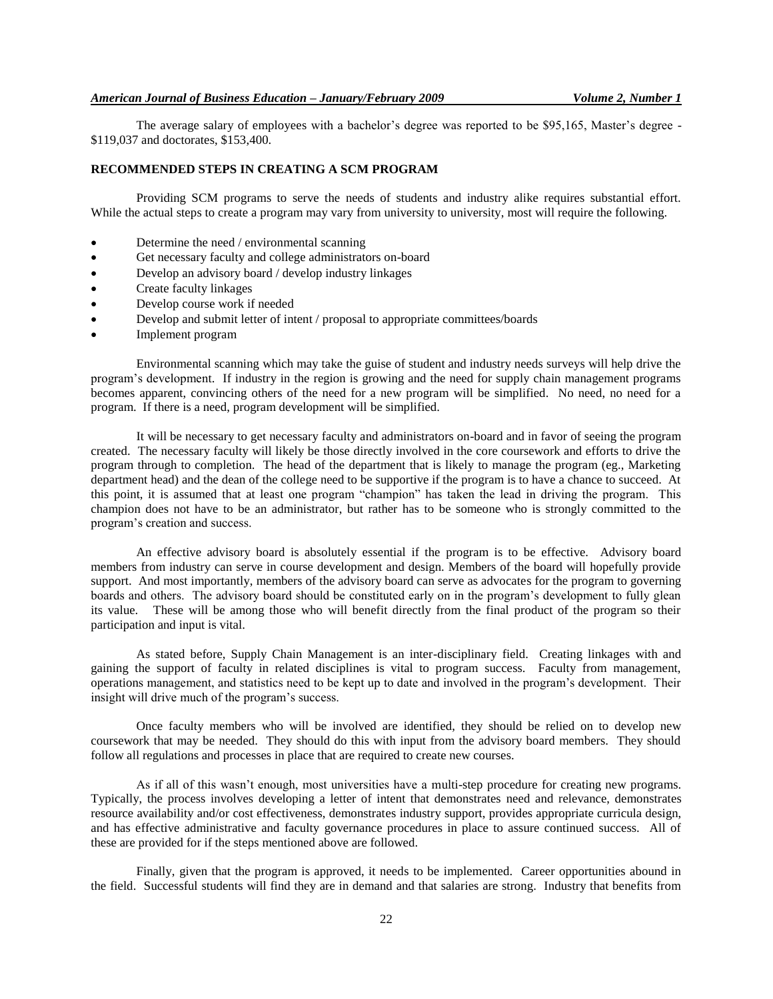The average salary of employees with a bachelor's degree was reported to be \$95,165, Master's degree - \$119,037 and doctorates, \$153,400.

### **RECOMMENDED STEPS IN CREATING A SCM PROGRAM**

Providing SCM programs to serve the needs of students and industry alike requires substantial effort. While the actual steps to create a program may vary from university to university, most will require the following.

- Determine the need / environmental scanning
- Get necessary faculty and college administrators on-board
- Develop an advisory board / develop industry linkages
- Create faculty linkages
- Develop course work if needed
- Develop and submit letter of intent / proposal to appropriate committees/boards
- Implement program

Environmental scanning which may take the guise of student and industry needs surveys will help drive the program's development. If industry in the region is growing and the need for supply chain management programs becomes apparent, convincing others of the need for a new program will be simplified. No need, no need for a program. If there is a need, program development will be simplified.

It will be necessary to get necessary faculty and administrators on-board and in favor of seeing the program created. The necessary faculty will likely be those directly involved in the core coursework and efforts to drive the program through to completion. The head of the department that is likely to manage the program (eg., Marketing department head) and the dean of the college need to be supportive if the program is to have a chance to succeed. At this point, it is assumed that at least one program "champion" has taken the lead in driving the program. This champion does not have to be an administrator, but rather has to be someone who is strongly committed to the program's creation and success.

An effective advisory board is absolutely essential if the program is to be effective. Advisory board members from industry can serve in course development and design. Members of the board will hopefully provide support. And most importantly, members of the advisory board can serve as advocates for the program to governing boards and others. The advisory board should be constituted early on in the program's development to fully glean its value. These will be among those who will benefit directly from the final product of the program so their participation and input is vital.

As stated before, Supply Chain Management is an inter-disciplinary field. Creating linkages with and gaining the support of faculty in related disciplines is vital to program success. Faculty from management, operations management, and statistics need to be kept up to date and involved in the program's development. Their insight will drive much of the program's success.

Once faculty members who will be involved are identified, they should be relied on to develop new coursework that may be needed. They should do this with input from the advisory board members. They should follow all regulations and processes in place that are required to create new courses.

As if all of this wasn't enough, most universities have a multi-step procedure for creating new programs. Typically, the process involves developing a letter of intent that demonstrates need and relevance, demonstrates resource availability and/or cost effectiveness, demonstrates industry support, provides appropriate curricula design, and has effective administrative and faculty governance procedures in place to assure continued success. All of these are provided for if the steps mentioned above are followed.

Finally, given that the program is approved, it needs to be implemented. Career opportunities abound in the field. Successful students will find they are in demand and that salaries are strong. Industry that benefits from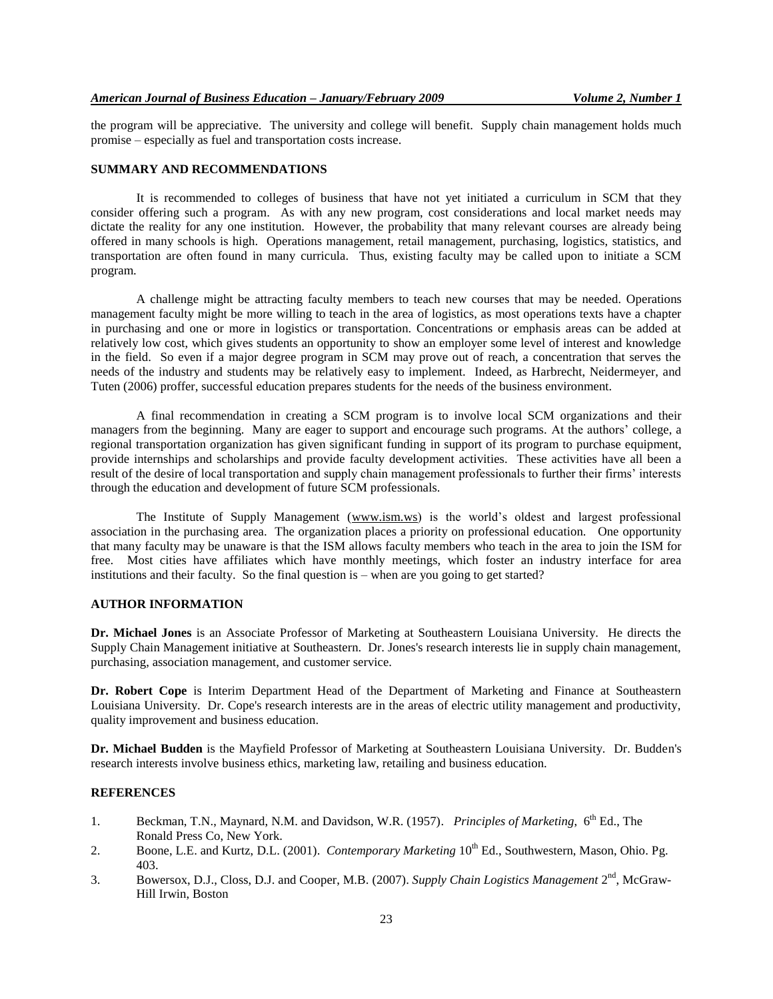the program will be appreciative. The university and college will benefit. Supply chain management holds much promise – especially as fuel and transportation costs increase.

#### **SUMMARY AND RECOMMENDATIONS**

It is recommended to colleges of business that have not yet initiated a curriculum in SCM that they consider offering such a program. As with any new program, cost considerations and local market needs may dictate the reality for any one institution. However, the probability that many relevant courses are already being offered in many schools is high. Operations management, retail management, purchasing, logistics, statistics, and transportation are often found in many curricula. Thus, existing faculty may be called upon to initiate a SCM program.

A challenge might be attracting faculty members to teach new courses that may be needed. Operations management faculty might be more willing to teach in the area of logistics, as most operations texts have a chapter in purchasing and one or more in logistics or transportation. Concentrations or emphasis areas can be added at relatively low cost, which gives students an opportunity to show an employer some level of interest and knowledge in the field. So even if a major degree program in SCM may prove out of reach, a concentration that serves the needs of the industry and students may be relatively easy to implement. Indeed, as Harbrecht, Neidermeyer, and Tuten (2006) proffer, successful education prepares students for the needs of the business environment.

A final recommendation in creating a SCM program is to involve local SCM organizations and their managers from the beginning. Many are eager to support and encourage such programs. At the authors' college, a regional transportation organization has given significant funding in support of its program to purchase equipment, provide internships and scholarships and provide faculty development activities. These activities have all been a result of the desire of local transportation and supply chain management professionals to further their firms' interests through the education and development of future SCM professionals.

The Institute of Supply Management [\(www.ism.ws\)](http://www.ism.ws/) is the world's oldest and largest professional association in the purchasing area. The organization places a priority on professional education. One opportunity that many faculty may be unaware is that the ISM allows faculty members who teach in the area to join the ISM for free. Most cities have affiliates which have monthly meetings, which foster an industry interface for area institutions and their faculty. So the final question is – when are you going to get started?

# **AUTHOR INFORMATION**

**Dr. Michael Jones** is an Associate Professor of Marketing at Southeastern Louisiana University. He directs the Supply Chain Management initiative at Southeastern. Dr. Jones's research interests lie in supply chain management, purchasing, association management, and customer service.

**Dr. Robert Cope** is Interim Department Head of the Department of Marketing and Finance at Southeastern Louisiana University. Dr. Cope's research interests are in the areas of electric utility management and productivity, quality improvement and business education.

**Dr. Michael Budden** is the Mayfield Professor of Marketing at Southeastern Louisiana University. Dr. Budden's research interests involve business ethics, marketing law, retailing and business education.

#### **REFERENCES**

- 1. Beckman, T.N., Maynard, N.M. and Davidson, W.R. (1957). *Principles of Marketing*, 6<sup>th</sup> Ed., The Ronald Press Co, New York.
- 2. Boone, L.E. and Kurtz, D.L. (2001). *Contemporary Marketing* 10<sup>th</sup> Ed., Southwestern, Mason, Ohio. Pg. 403.
- 3. Bowersox, D.J., Closs, D.J. and Cooper, M.B. (2007). *Supply Chain Logistics Management* 2<sup>nd</sup>, McGraw-Hill Irwin, Boston